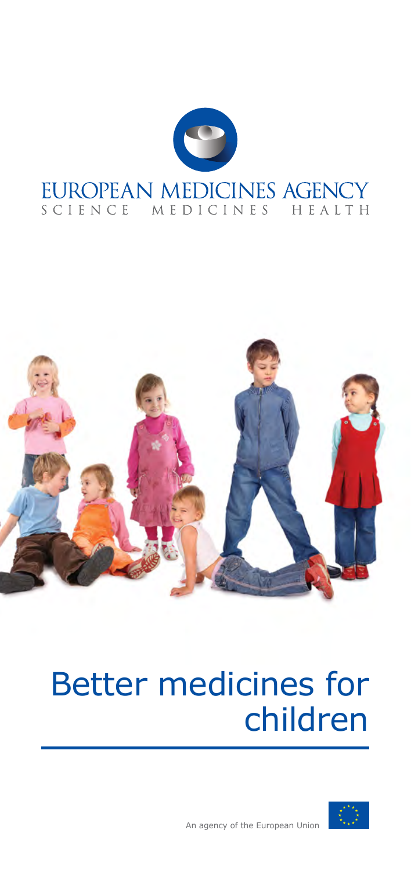



# Better medicines for children

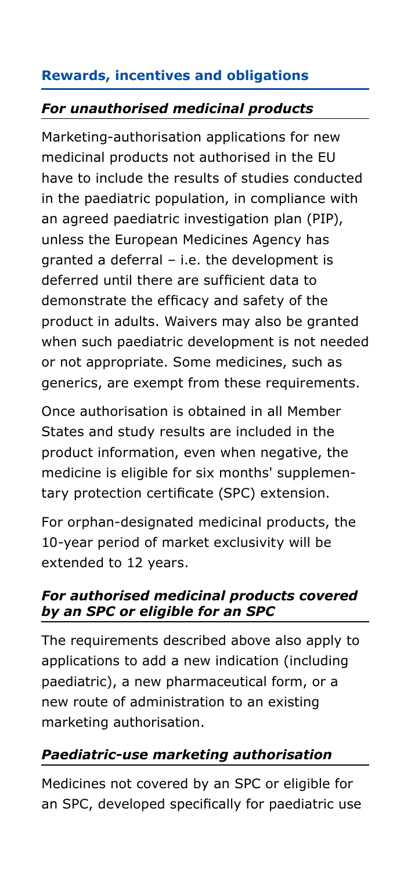### **Rewards, incentives and obligations**

#### *For unauthorised medicinal products*

Marketing-authorisation applications for new medicinal products not authorised in the EU have to include the results of studies conducted in the paediatric population, in compliance with an agreed paediatric investigation plan (PIP), unless the European Medicines Agency has granted a deferral – i.e. the development is deferred until there are sufficient data to demonstrate the efficacy and safety of the product in adults. Waivers may also be granted when such paediatric development is not needed or not appropriate. Some medicines, such as generics, are exempt from these requirements.

Once authorisation is obtained in all Member States and study results are included in the product information, even when negative, the medicine is eligible for six months' supplementary protection certificate (SPC) extension.

For orphan-designated medicinal products, the 10-year period of market exclusivity will be extended to 12 years.

#### *For authorised medicinal products covered by an SPC or eligible for an SPC*

The requirements described above also apply to applications to add a new indication (including paediatric), a new pharmaceutical form, or a new route of administration to an existing marketing authorisation.

## *Paediatric-use marketing authorisation*

Medicines not covered by an SPC or eligible for an SPC, developed specifically for paediatric use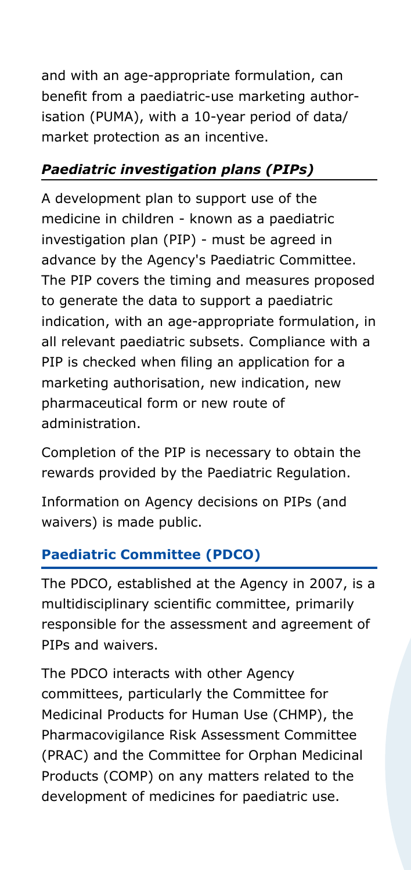and with an age-appropriate formulation, can benefit from a paediatric-use marketing authorisation (PUMA), with a 10-year period of data/ market protection as an incentive.

#### *Paediatric investigation plans (PIPs)*

A development plan to support use of the medicine in children - known as a paediatric investigation plan (PIP) - must be agreed in advance by the Agency's Paediatric Committee. The PIP covers the timing and measures proposed to generate the data to support a paediatric indication, with an age-appropriate formulation, in all relevant paediatric subsets. Compliance with a PIP is checked when filing an application for a marketing authorisation, new indication, new pharmaceutical form or new route of administration.

Completion of the PIP is necessary to obtain the rewards provided by the Paediatric Regulation.

Information on Agency decisions on PIPs (and waivers) is made public.

## **Paediatric Committee (PDCO)**

The PDCO, established at the Agency in 2007, is a multidisciplinary scientific committee, primarily responsible for the assessment and agreement of PIPs and waivers.

The PDCO interacts with other Agency committees, particularly the Committee for Medicinal Products for Human Use (CHMP), the Pharmacovigilance Risk Assessment Committee (PRAC) and the Committee for Orphan Medicinal Products (COMP) on any matters related to the development of medicines for paediatric use.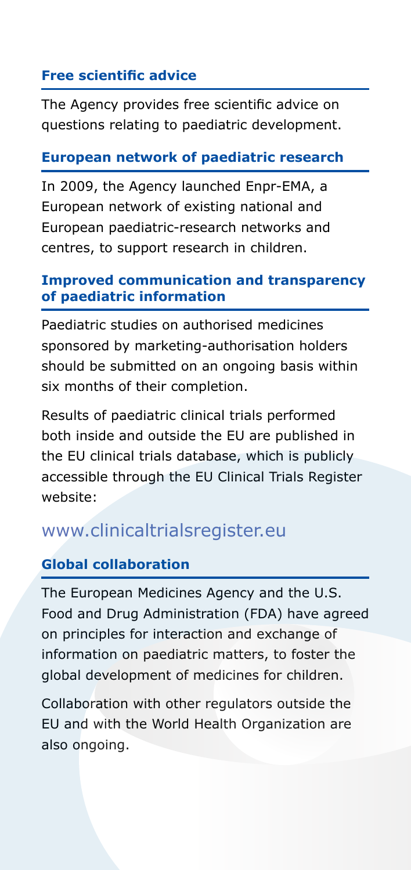#### **Free scientific advice**

The Agency provides free scientific advice on questions relating to paediatric development.

#### **European network of paediatric research**

In 2009, the Agency launched Enpr-EMA, a European network of existing national and European paediatric-research networks and centres, to support research in children.

#### **Improved communication and transparency of paediatric information**

Paediatric studies on authorised medicines sponsored by marketing-authorisation holders should be submitted on an ongoing basis within six months of their completion.

Results of paediatric clinical trials performed both inside and outside the EU are published in the EU clinical trials database, which is publicly accessible through the EU Clinical Trials Register website:

# www.clinicaltrialsregister.eu

#### **Global collaboration**

The European Medicines Agency and the U.S. Food and Drug Administration (FDA) have agreed on principles for interaction and exchange of information on paediatric matters, to foster the global development of medicines for children.

Collaboration with other regulators outside the EU and with the World Health Organization are also ongoing.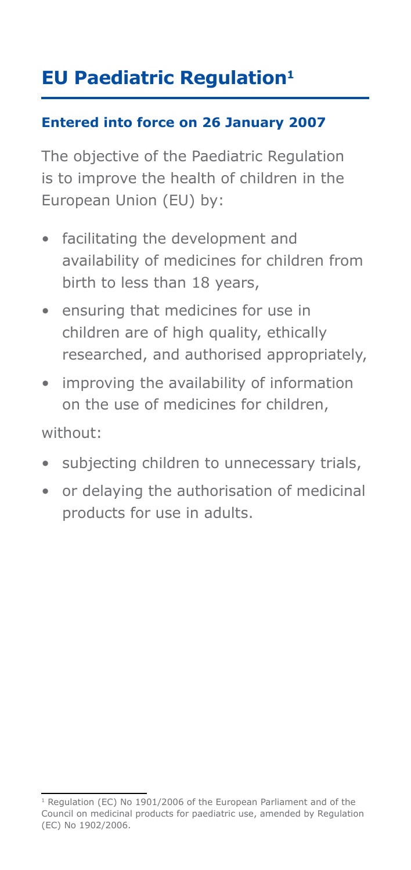# **EU Paediatric Regulation<sup>1</sup>**

#### **Entered into force on 26 January 2007**

The objective of the Paediatric Regulation is to improve the health of children in the European Union (EU) by:

- facilitating the development and availability of medicines for children from birth to less than 18 years,
- ensuring that medicines for use in children are of high quality, ethically researched, and authorised appropriately,
- improving the availability of information on the use of medicines for children,

without:

- subjecting children to unnecessary trials,
- or delaying the authorisation of medicinal products for use in adults.

<sup>&</sup>lt;sup>1</sup> Regulation (EC) No 1901/2006 of the European Parliament and of the Council on medicinal products for paediatric use, amended by Regulation (EC) No 1902/2006.